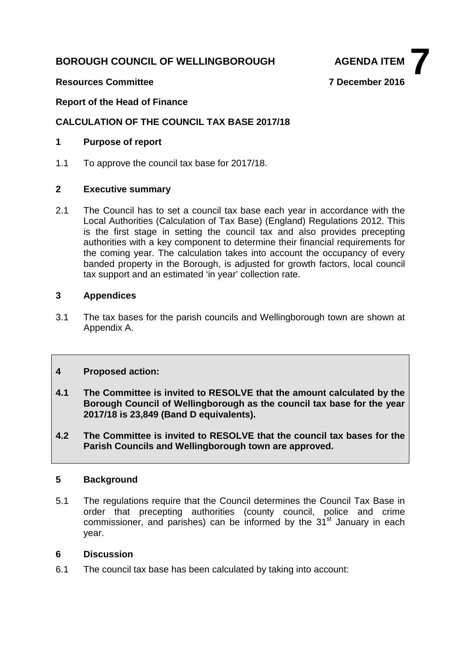# **BOROUGH COUNCIL OF WELLINGBOROUGH AGENDA ITEM**



## **Resources Committee 7 December 2016**

## **Report of the Head of Finance**

## **CALCULATION OF THE COUNCIL TAX BASE 2017/18**

## **1 Purpose of report**

1.1 To approve the council tax base for 2017/18.

## **2 Executive summary**

2.1 The Council has to set a council tax base each year in accordance with the Local Authorities (Calculation of Tax Base) (England) Regulations 2012. This is the first stage in setting the council tax and also provides precepting authorities with a key component to determine their financial requirements for the coming year. The calculation takes into account the occupancy of every banded property in the Borough, is adjusted for growth factors, local council tax support and an estimated 'in year' collection rate.

## **3 Appendices**

3.1 The tax bases for the parish councils and Wellingborough town are shown at Appendix A.

## **4 Proposed action:**

- **4.1 The Committee is invited to RESOLVE that the amount calculated by the Borough Council of Wellingborough as the council tax base for the year 2017/18 is 23,849 (Band D equivalents).**
- **4.2 The Committee is invited to RESOLVE that the council tax bases for the Parish Councils and Wellingborough town are approved.**

## **5 Background**

5.1 The regulations require that the Council determines the Council Tax Base in order that precepting authorities (county council, police and crime commissioner, and parishes) can be informed by the 31<sup>st</sup> January in each year.

## **6 Discussion**

6.1 The council tax base has been calculated by taking into account: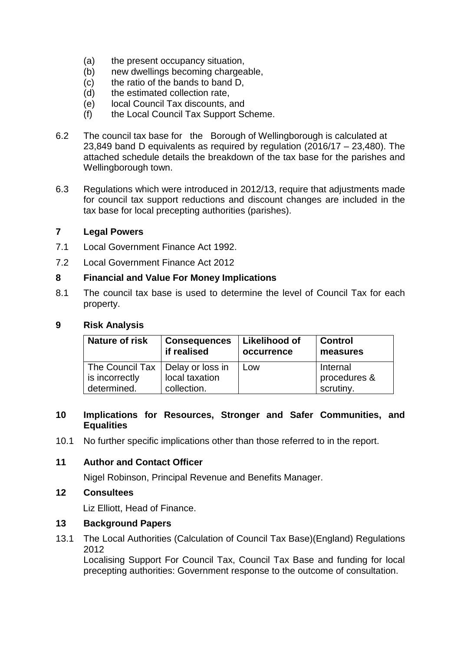- (a) the present occupancy situation,
- (b) new dwellings becoming chargeable,
- (c) the ratio of the bands to band D,
- (d) the estimated collection rate,
- (e) local Council Tax discounts, and
- (f) the Local Council Tax Support Scheme.
- 6.2 The council tax base for the Borough of Wellingborough is calculated at 23,849 band D equivalents as required by regulation (2016/17 – 23,480). The attached schedule details the breakdown of the tax base for the parishes and Wellingborough town.
- 6.3 Regulations which were introduced in 2012/13, require that adjustments made for council tax support reductions and discount changes are included in the tax base for local precepting authorities (parishes).

#### **7 Legal Powers**

- 7.1 Local Government Finance Act 1992.
- 7.2 Local Government Finance Act 2012

#### **8 Financial and Value For Money Implications**

8.1 The council tax base is used to determine the level of Council Tax for each property.

#### **9 Risk Analysis**

| <b>Nature of risk</b>                                | <b>Consequences</b><br>if realised | <b>Likelihood of</b><br>occurrence | <b>Control</b><br>measures |
|------------------------------------------------------|------------------------------------|------------------------------------|----------------------------|
| The Council Tax   Delay or loss in<br>is incorrectly | local taxation                     | Low                                | Internal<br>procedures &   |
| determined.                                          | collection.                        |                                    | scrutiny.                  |

## **10 Implications for Resources, Stronger and Safer Communities, and Equalities**

10.1 No further specific implications other than those referred to in the report.

## **11 Author and Contact Officer**

Nigel Robinson, Principal Revenue and Benefits Manager.

**12 Consultees**

Liz Elliott, Head of Finance.

## **13 Background Papers**

13.1 The Local Authorities (Calculation of Council Tax Base)(England) Regulations 2012

Localising Support For Council Tax, Council Tax Base and funding for local precepting authorities: Government response to the outcome of consultation.